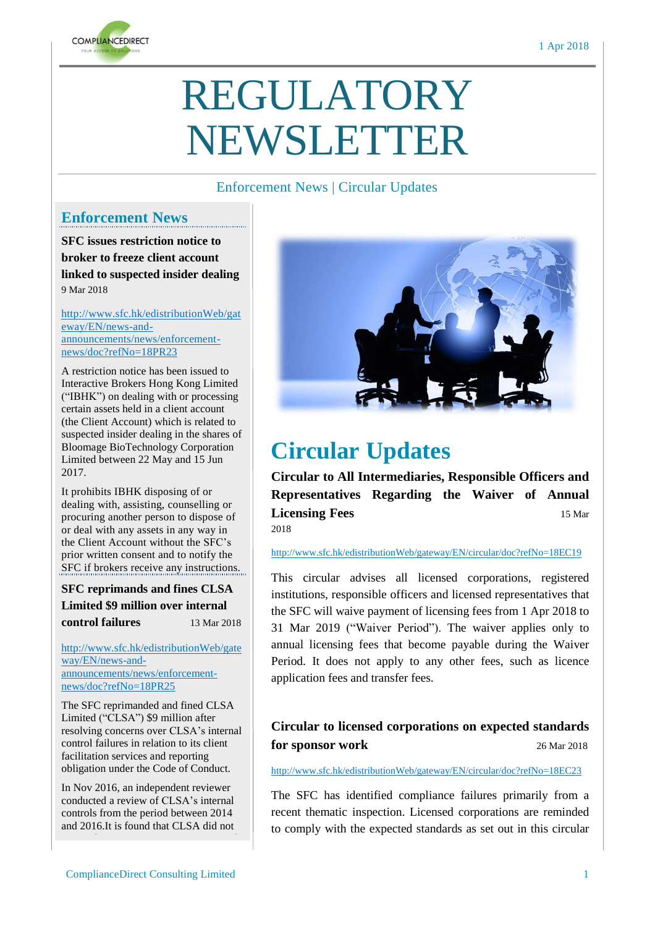

# REGULATORY NEWSLETTER

### Enforcement News | Circular Updates

## **Enforcement News**

**SFC issues restriction notice to broker to freeze client account linked to suspected insider dealing** 9 Mar 2018

http://www.sfc.hk/edistributionWeb/gat eway/EN/news-andannouncements/news/enforcementnews/doc?refNo=18PR23

A restriction notice has been issued to Interactive Brokers Hong Kong Limited ("IBHK") on dealing with or processing certain assets held in a client account (the Client Account) which is related to suspected insider dealing in the shares of Bloomage BioTechnology Corporation Limited between 22 May and 15 Jun 2017.

It prohibits IBHK disposing of or dealing with, assisting, counselling or procuring another person to dispose of or deal with any assets in any way in the Client Account without the SFC's prior written consent and to notify the SFC if brokers receive any instructions.

**SFC reprimands and fines CLSA Limited \$9 million over internal control failures** 13 Mar 2018

[http://www.sfc.hk/edistributionWeb/gate](http://www.sfc.hk/edistributionWeb/gateway/EN/news-and-announcements/news/enforcement-news/doc?refNo=18PR25) [way/EN/news-and](http://www.sfc.hk/edistributionWeb/gateway/EN/news-and-announcements/news/enforcement-news/doc?refNo=18PR25)[announcements/news/enforcement](http://www.sfc.hk/edistributionWeb/gateway/EN/news-and-announcements/news/enforcement-news/doc?refNo=18PR25)[news/doc?refNo=18PR25](http://www.sfc.hk/edistributionWeb/gateway/EN/news-and-announcements/news/enforcement-news/doc?refNo=18PR25)

The SFC reprimanded and fined CLSA Limited ("CLSA") \$9 million after resolving concerns over CLSA's internal control failures in relation to its client facilitation services and reporting obligation under the Code of Conduct.

In Nov 2016, an independent reviewer conducted a review of CLSA's internal controls from the period between 2014 and 2016.It is found that CLSA did not



# **Circular Updates**

**Circular to All Intermediaries, Responsible Officers and Representatives Regarding the Waiver of Annual Licensing Fees** 15 Mar 2018

#### <http://www.sfc.hk/edistributionWeb/gateway/EN/circular/doc?refNo=18EC19>

This circular advises all licensed corporations, registered institutions, responsible officers and licensed representatives that the SFC will waive payment of licensing fees from 1 Apr 2018 to 31 Mar 2019 ("Waiver Period"). The waiver applies only to annual licensing fees that become payable during the Waiver Period. It does not apply to any other fees, such as licence application fees and transfer fees.

### **Circular to licensed corporations on expected standards for sponsor work** 26 Mar 2018

<http://www.sfc.hk/edistributionWeb/gateway/EN/circular/doc?refNo=18EC23>

The SFC has identified compliance failures primarily from a recent thematic inspection. Licensed corporations are reminded to comply with the expected standards as set out in this circular